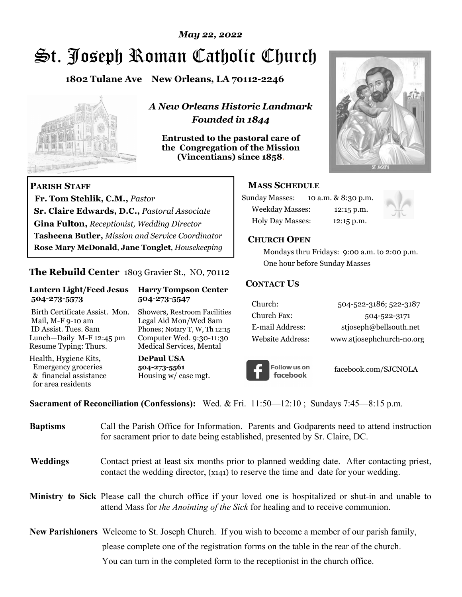## *May 22, 2022*

# St. Joseph Roman Catholic Church

**1802 Tulane Ave New Orleans, LA 70112-2246**



 **Fr. Tom Stehlik, C.M.,** *Pastor* 

**Sr. Claire Edwards, D.C.,** *Pastoral Associate* **Gina Fulton,** *Receptionist, Wedding Director* 

**Tasheena Butler,** *Mission and Service Coordinator* **Rose Mary McDonald**, **Jane Tonglet**, *Housekeeping*

**The Rebuild Center** 1803 Gravier St., NO, 70112

**Lantern Light/Feed Jesus Harry Tompson Center** 

Birth Certificate Assist. Mon. Showers, Restroom Facilities Mail, M-F 9-10 am Legal Aid Mon/Wed 8am ID Assist. Tues. 8am Phones; Notary T, W, Th 12:15 Lunch—Daily M-F 12:45 pm Computer Wed. 9:30-11:30 Resume Typing: Thurs. Medical Services, Mental

 **504-273-5573 504-273-5547** 

Health, Hygiene Kits, **DePaul USA**  Emergency groceries **504-273-5561** & financial assistance Housing w/ case mgt.

**PARISH STAFF**

for area residents

*A New Orleans Historic Landmark Founded in 1844* 

**Entrusted to the pastoral care of the Congregation of the Mission (Vincentians) since 1858**.



## **MASS SCHEDULE**

| <b>Sunday Masses:</b>  | 10 a.m. & 8:30 p.m. |
|------------------------|---------------------|
| <b>Weekday Masses:</b> | $12:15$ p.m.        |
| Holy Day Masses:       | 12:15 p.m.          |



### **CHURCH OPEN**

 Mondays thru Fridays: 9:00 a.m. to 2:00 p.m. One hour before Sunday Masses

### **CONTACT US**

| Church:          | 504-522-3186; 522-3187    |
|------------------|---------------------------|
| Church Fax:      | 504-522-3171              |
| E-mail Address:  | stjoseph@bellsouth.net    |
| Website Address: | www.stjosephchurch-no.org |



facebook.com/SJCNOLA

**Sacrament of Reconciliation (Confessions):** Wed. & Fri. 11:50—12:10 ; Sundays 7:45—8:15 p.m.

| <b>Baptisms</b> | Call the Parish Office for Information. Parents and Godparents need to attend instruction<br>for sacrament prior to date being established, presented by Sr. Claire, DC.                            |
|-----------------|-----------------------------------------------------------------------------------------------------------------------------------------------------------------------------------------------------|
| <b>Weddings</b> | Contact priest at least six months prior to planned wedding date. After contacting priest,<br>contact the wedding director, (x141) to reserve the time and date for your wedding.                   |
|                 | Ministry to Sick Please call the church office if your loved one is hospitalized or shut-in and unable to<br>attend Mass for <i>the Anointing of the Sick</i> for healing and to receive communion. |
|                 | <b>New Parishioners</b> Welcome to St. Joseph Church. If you wish to become a member of our parish family,                                                                                          |
|                 | please complete one of the registration forms on the table in the rear of the church.                                                                                                               |
|                 | You can turn in the completed form to the receptionist in the church office.                                                                                                                        |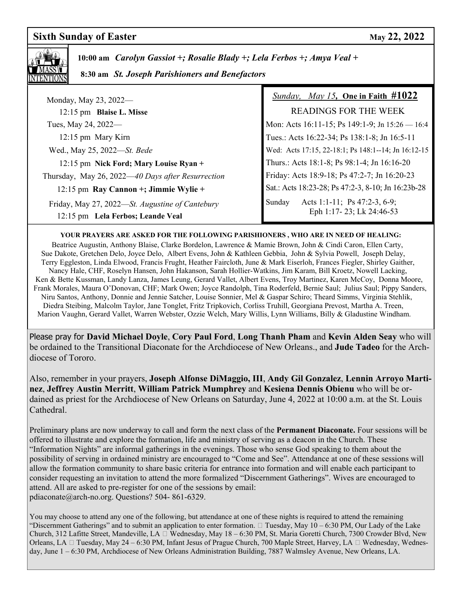## **Sixth Sunday of Easter May 22, 2022**



 **10:00 am** *Carolyn Gassiot +; Rosalie Blady +; Lela Ferbos +; Amya Veal +*

 **8:30 am** *St. Joseph Parishioners and Benefactors*

| Monday, May 23, 2022—                                                                | <i>Sunday, May 15, One in Faith <math>\#1022</math></i>            |
|--------------------------------------------------------------------------------------|--------------------------------------------------------------------|
| 12:15 pm Blaise L. Misse                                                             | <b>READINGS FOR THE WEEK</b>                                       |
| Tues, May 24, 2022—                                                                  | Mon: Acts 16:11-15; Ps 149:1-9; Jn 15:26 - 16:4                    |
| 12:15 pm Mary Kirn                                                                   | Tues.: Acts 16:22-34; Ps 138:1-8; Jn 16:5-11                       |
| Wed., May 25, 2022—St. Bede                                                          | Wed: Acts 17:15, 22-18:1; Ps 148:1--14; Jn 16:12-15                |
| 12:15 pm Nick Ford; Mary Louise Ryan +                                               | Thurs.: Acts 18:1-8; Ps 98:1-4; Jn 16:16-20                        |
| Thursday, May 26, 2022—40 Days after Resurrection                                    | Friday: Acts 18:9-18; Ps 47:2-7; Jn 16:20-23                       |
| 12:15 pm Ray Cannon $+$ ; Jimmie Wylie $+$                                           | Sat.: Acts 18:23-28; Ps 47:2-3, 8-10; Jn 16:23b-28                 |
| Friday, May 27, 2022—St. Augustine of Cantebury<br>12:15 pm Lela Ferbos; Leande Veal | Acts 1:1-11; Ps 47:2-3, 6-9;<br>Sunday<br>Eph 1:17-23; Lk 24:46-53 |

#### **YOUR PRAYERS ARE ASKED FOR THE FOLLOWING PARISHIONERS , WHO ARE IN NEED OF HEALING:**

 Beatrice Augustin, Anthony Blaise, Clarke Bordelon, Lawrence & Mamie Brown, John & Cindi Caron, Ellen Carty, Sue Dakote, Gretchen Delo, Joyce Delo, Albert Evens, John & Kathleen Gebbia, John & Sylvia Powell, Joseph Delay, Terry Eggleston, Linda Elwood, Francis Frught, Heather Faircloth, June & Mark Eiserloh, Frances Fiegler, Shirley Gaither, Nancy Hale, CHF, Roselyn Hansen, John Hakanson, Sarah Hollier-Watkins, Jim Karam, Bill Kroetz, Nowell Lacking, Ken & Bette Kussman, Landy Lanza, James Leung, Gerard Vallet, Albert Evens, Troy Martinez, Karen McCoy, Donna Moore, Frank Morales, Maura O'Donovan, CHF; Mark Owen; Joyce Randolph, Tina Roderfeld, Bernie Saul; Julius Saul; Pippy Sanders, Niru Santos, Anthony, Donnie and Jennie Satcher, Louise Sonnier, Mel & Gaspar Schiro; Theard Simms, Virginia Stehlik, Diedra Steibing, Malcolm Taylor, Jane Tonglet, Fritz Tripkovich, Corliss Truhill, Georgiana Prevost, Martha A. Treen, Marion Vaughn, Gerard Vallet, Warren Webster, Ozzie Welch, Mary Willis, Lynn Williams, Billy & Gladustine Windham.

Please pray for **David Michael Doyle**, **Cory Paul Ford**, **Long Thanh Pham** and **Kevin Alden Seay** who will be ordained to the Transitional Diaconate for the Archdiocese of New Orleans., and **Jude Tadeo** for the Archdiocese of Tororo.

Also, remember in your prayers, **Joseph Alfonse DiMaggio, III**, **Andy Gil Gonzalez**, **Lennin Arroyo Martinez**, **Jeffrey Austin Merritt**, **William Patrick Mumphrey** and **Kesiena Dennis Obienu** who will be ordained as priest for the Archdiocese of New Orleans on Saturday, June 4, 2022 at 10:00 a.m. at the St. Louis Cathedral.

Preliminary plans are now underway to call and form the next class of the **Permanent Diaconate.** Four sessions will be offered to illustrate and explore the formation, life and ministry of serving as a deacon in the Church. These "Information Nights" are informal gatherings in the evenings. Those who sense God speaking to them about the possibility of serving in ordained ministry are encouraged to "Come and See". Attendance at one of these sessions will allow the formation community to share basic criteria for entrance into formation and will enable each participant to consider requesting an invitation to attend the more formalized "Discernment Gatherings". Wives are encouraged to attend. All are asked to pre-register for one of the sessions by email: pdiaconate@arch-no.org. Questions? 504- 861-6329.

You may choose to attend any one of the following, but attendance at one of these nights is required to attend the remaining "Discernment Gatherings" and to submit an application to enter formation.  $\Box$  Tuesday, May 10 – 6:30 PM, Our Lady of the Lake Church, 312 Lafitte Street, Mandeville, LA Wednesday, May 18 – 6:30 PM, St. Maria Goretti Church, 7300 Crowder Blvd, New Orleans, LA  $\Box$  Tuesday, May 24 – 6:30 PM, Infant Jesus of Prague Church, 700 Maple Street, Harvey, LA  $\Box$  Wednesday, Wednesday, June 1 – 6:30 PM, Archdiocese of New Orleans Administration Building, 7887 Walmsley Avenue, New Orleans, LA.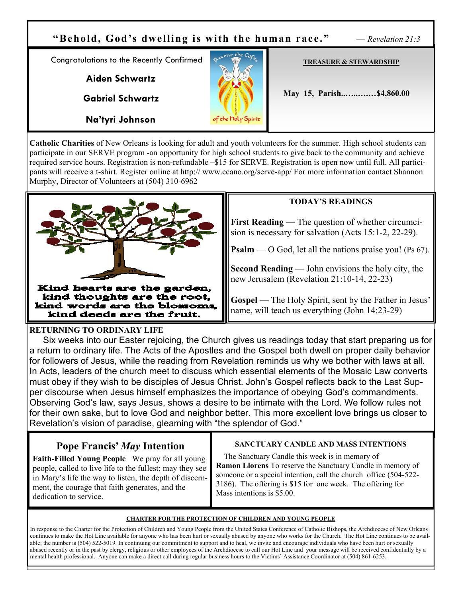

**Catholic Charities** of New Orleans is looking for adult and youth volunteers for the summer. High school students can participate in our SERVE program -an opportunity for high school students to give back to the community and achieve required service hours. Registration is non-refundable –\$15 for SERVE. Registration is open now until full. All participants will receive a t-shirt. Register online at http:// www.ccano.org/serve-app/ For more information contact Shannon Murphy, Director of Volunteers at (504) 310-6962



## **TODAY'S READINGS**

**First Reading** — The question of whether circumcision is necessary for salvation (Acts 15:1-2, 22-29).

**Psalm** — O God, let all the nations praise you! (Ps 67).

**Second Reading** — John envisions the holy city, the new Jerusalem (Revelation 21:10-14, 22-23)

**Gospel** — The Holy Spirit, sent by the Father in Jesus' name, will teach us everything (John 14:23-29)

### **RETURNING TO ORDINARY LIFE**

 Six weeks into our Easter rejoicing, the Church gives us readings today that start preparing us for a return to ordinary life. The Acts of the Apostles and the Gospel both dwell on proper daily behavior for followers of Jesus, while the reading from Revelation reminds us why we bother with laws at all. In Acts, leaders of the church meet to discuss which essential elements of the Mosaic Law converts must obey if they wish to be disciples of Jesus Christ. John's Gospel reflects back to the Last Supper discourse when Jesus himself emphasizes the importance of obeying God's commandments. Observing God's law, says Jesus, shows a desire to be intimate with the Lord. We follow rules not for their own sake, but to love God and neighbor better. This more excellent love brings us closer to Revelation's vision of paradise, gleaming with "the splendor of God."

# **Pope Francis'** *May* **Intention**

**Faith-Filled Young People** We pray for all young people, called to live life to the fullest; may they see in Mary's life the way to listen, the depth of discernment, the courage that faith generates, and the dedication to service.

#### **SANCTUARY CANDLE AND MASS INTENTIONS**

 The Sanctuary Candle this week is in memory of **Ramon Llorens** To reserve the Sanctuary Candle in memory of someone or a special intention, call the church office (504-522- 3186). The offering is \$15 for one week. The offering for Mass intentions is \$5.00.

#### **CHARTER FOR THE PROTECTION OF CHILDREN AND YOUNG PEOPLE**

In response to the Charter for the Protection of Children and Young People from the United States Conference of Catholic Bishops, the Archdiocese of New Orleans continues to make the Hot Line available for anyone who has been hurt or sexually abused by anyone who works for the Church. The Hot Line continues to be available; the number is (504) 522-5019. In continuing our commitment to support and to heal, we invite and encourage individuals who have been hurt or sexually abused recently or in the past by clergy, religious or other employees of the Archdiocese to call our Hot Line and your message will be received confidentially by a mental health professional. Anyone can make a direct call during regular business hours to the Victims' Assistance Coordinator at (504) 861-6253.